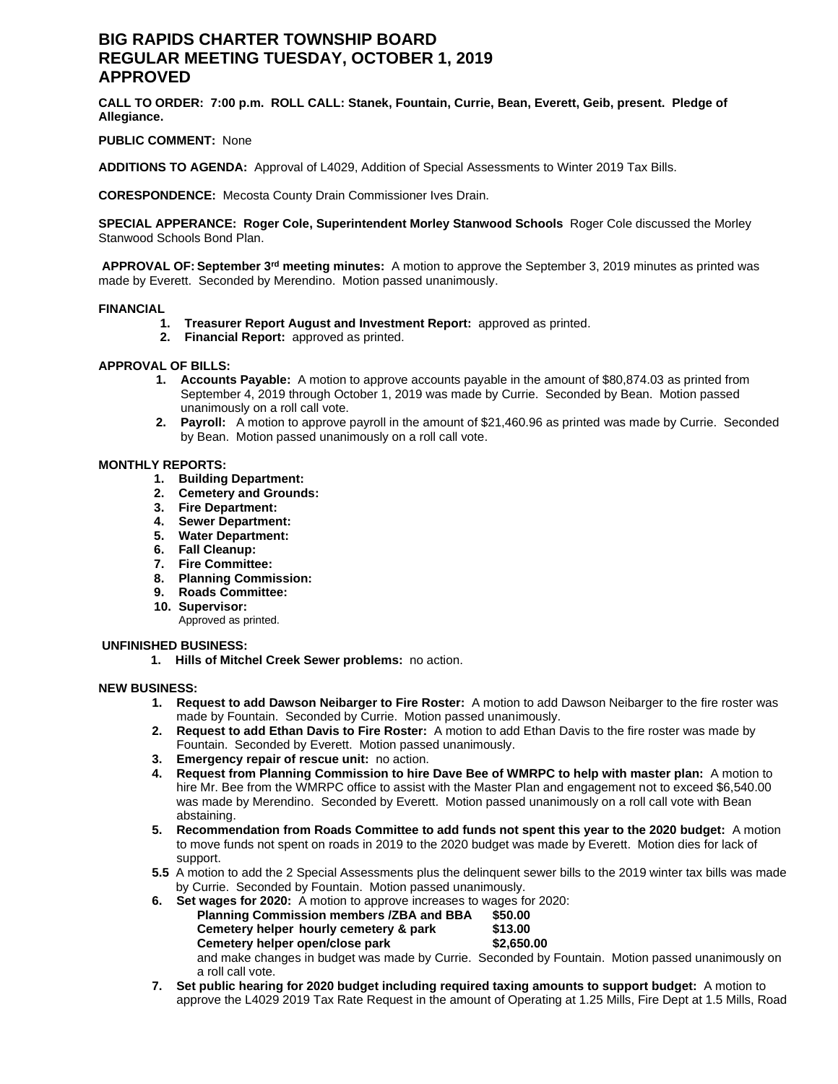# **BIG RAPIDS CHARTER TOWNSHIP BOARD REGULAR MEETING TUESDAY, OCTOBER 1, 2019 APPROVED**

**CALL TO ORDER: 7:00 p.m. ROLL CALL: Stanek, Fountain, Currie, Bean, Everett, Geib, present. Pledge of Allegiance.**

## **PUBLIC COMMENT:** None

**ADDITIONS TO AGENDA:** Approval of L4029, Addition of Special Assessments to Winter 2019 Tax Bills.

**CORESPONDENCE:** Mecosta County Drain Commissioner Ives Drain.

**SPECIAL APPERANCE: Roger Cole, Superintendent Morley Stanwood Schools** Roger Cole discussed the Morley Stanwood Schools Bond Plan.

**APPROVAL OF: September 3rd meeting minutes:** A motion to approve the September 3, 2019 minutes as printed was made by Everett. Seconded by Merendino. Motion passed unanimously.

## **FINANCIAL**

- **1. Treasurer Report August and Investment Report:** approved as printed.
- **2. Financial Report:** approved as printed.

## **APPROVAL OF BILLS:**

- **1. Accounts Payable:** A motion to approve accounts payable in the amount of \$80,874.03 as printed from September 4, 2019 through October 1, 2019 was made by Currie. Seconded by Bean. Motion passed unanimously on a roll call vote.
- **2. Payroll:** A motion to approve payroll in the amount of \$21,460.96 as printed was made by Currie. Seconded by Bean. Motion passed unanimously on a roll call vote.

#### **MONTHLY REPORTS:**

- **1. Building Department:**
- **2. Cemetery and Grounds:**
- **3. Fire Department:**
- **4. Sewer Department:**
- **5. Water Department:**
- **6. Fall Cleanup:**
- **7. Fire Committee:**
- **8. Planning Commission:**
- **9. Roads Committee:**
- **10. Supervisor:**

Approved as printed.

#### **UNFINISHED BUSINESS:**

**1. Hills of Mitchel Creek Sewer problems:** no action.

#### **NEW BUSINESS:**

- **1. Request to add Dawson Neibarger to Fire Roster:** A motion to add Dawson Neibarger to the fire roster was made by Fountain. Seconded by Currie. Motion passed unanimously.
- **2. Request to add Ethan Davis to Fire Roster:** A motion to add Ethan Davis to the fire roster was made by Fountain. Seconded by Everett. Motion passed unanimously.
- **3. Emergency repair of rescue unit:** no action.
- **4. Request from Planning Commission to hire Dave Bee of WMRPC to help with master plan:** A motion to hire Mr. Bee from the WMRPC office to assist with the Master Plan and engagement not to exceed \$6,540.00 was made by Merendino. Seconded by Everett. Motion passed unanimously on a roll call vote with Bean abstaining.
- **5. Recommendation from Roads Committee to add funds not spent this year to the 2020 budget:** A motion to move funds not spent on roads in 2019 to the 2020 budget was made by Everett. Motion dies for lack of support.
- **5.5** A motion to add the 2 Special Assessments plus the delinquent sewer bills to the 2019 winter tax bills was made by Currie. Seconded by Fountain. Motion passed unanimously.

**6. Set wages for 2020:** A motion to approve increases to wages for 2020:

| <b>Planning Commission members /ZBA and BBA</b>                                                   | \$50.00    |  |
|---------------------------------------------------------------------------------------------------|------------|--|
| Cemetery helper hourly cemetery & park                                                            | \$13.00    |  |
| Cemetery helper open/close park                                                                   | \$2.650.00 |  |
| and make changes in budget was made by Currie. Seconded by Fountain. Motion passed unanimously on |            |  |
| a roll call vote.                                                                                 |            |  |

**7. Set public hearing for 2020 budget including required taxing amounts to support budget:** A motion to approve the L4029 2019 Tax Rate Request in the amount of Operating at 1.25 Mills, Fire Dept at 1.5 Mills, Road